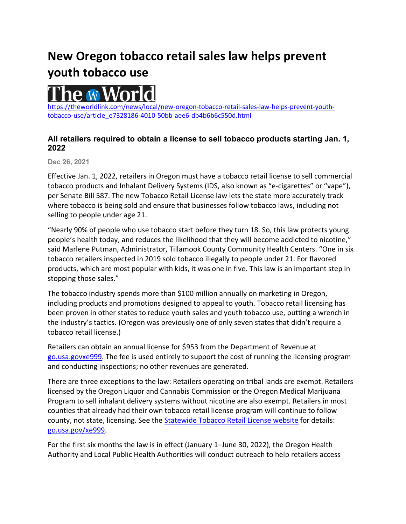## **New Oregon tobacco retail sales law helps prevent youth tobacco use**



[https://theworldlink.com/news/local/new-oregon-tobacco-retail-sales-law-helps-prevent-youth](https://theworldlink.com/news/local/new-oregon-tobacco-retail-sales-law-helps-prevent-youth-tobacco-use/article_e7328186-4010-50bb-aee6-db4b6b6c550d.html)[tobacco-use/article\\_e7328186-4010-50bb-aee6-db4b6b6c550d.html](https://theworldlink.com/news/local/new-oregon-tobacco-retail-sales-law-helps-prevent-youth-tobacco-use/article_e7328186-4010-50bb-aee6-db4b6b6c550d.html)

## **All retailers required to obtain a license to sell tobacco products starting Jan. 1, 2022**

**Dec 26, 2021**

Effective Jan. 1, 2022, retailers in Oregon must have a tobacco retail license to sell commercial tobacco products and Inhalant Delivery Systems (IDS, also known as "e-cigarettes" or "vape"), per Senate Bill 587. The new Tobacco Retail License law lets the state more accurately track where tobacco is being sold and ensure that businesses follow tobacco laws, including not selling to people under age 21.

"Nearly 90% of people who use tobacco start before they turn 18. So, this law protects young people's health today, and reduces the likelihood that they will become addicted to nicotine," said Marlene Putman, Administrator, Tillamook County Community Health Centers. "One in six tobacco retailers inspected in 2019 sold tobacco illegally to people under 21. For flavored products, which are most popular with kids, it was one in five. This law is an important step in stopping those sales."

The tobacco industry spends more than \$100 million annually on marketing in Oregon, including products and promotions designed to appeal to youth. Tobacco retail licensing has been proven in other states to reduce youth sales and youth tobacco use, putting a wrench in the industry's tactics. (Oregon was previously one of only seven states that didn't require a tobacco retail license.)

Retailers can obtain an annual license for \$953 from the Department of Revenue at [go.usa.govxe999.](https://www.oregon.gov/dor/programs/businesses/Pages/Statewide-Tobacco-Retail-License.aspx) The fee is used entirely to support the cost of running the licensing program and conducting inspections; no other revenues are generated.

There are three exceptions to the law: Retailers operating on tribal lands are exempt. Retailers licensed by the Oregon Liquor and Cannabis Commission or the Oregon Medical Marijuana Program to sell inhalant delivery systems without nicotine are also exempt. Retailers in most counties that already had their own tobacco retail license program will continue to follow county, not state, licensing. See the [Statewide Tobacco Retail License website](https://www.oregon.gov/dor/programs/businesses/Pages/Statewide-Tobacco-Retail-License.aspx) for details: [go.usa.gov/xe999.](https://www.oregon.gov/dor/programs/businesses/Pages/Statewide-Tobacco-Retail-License.aspx)

For the first six months the law is in effect (January 1–June 30, 2022), the Oregon Health Authority and Local Public Health Authorities will conduct outreach to help retailers access